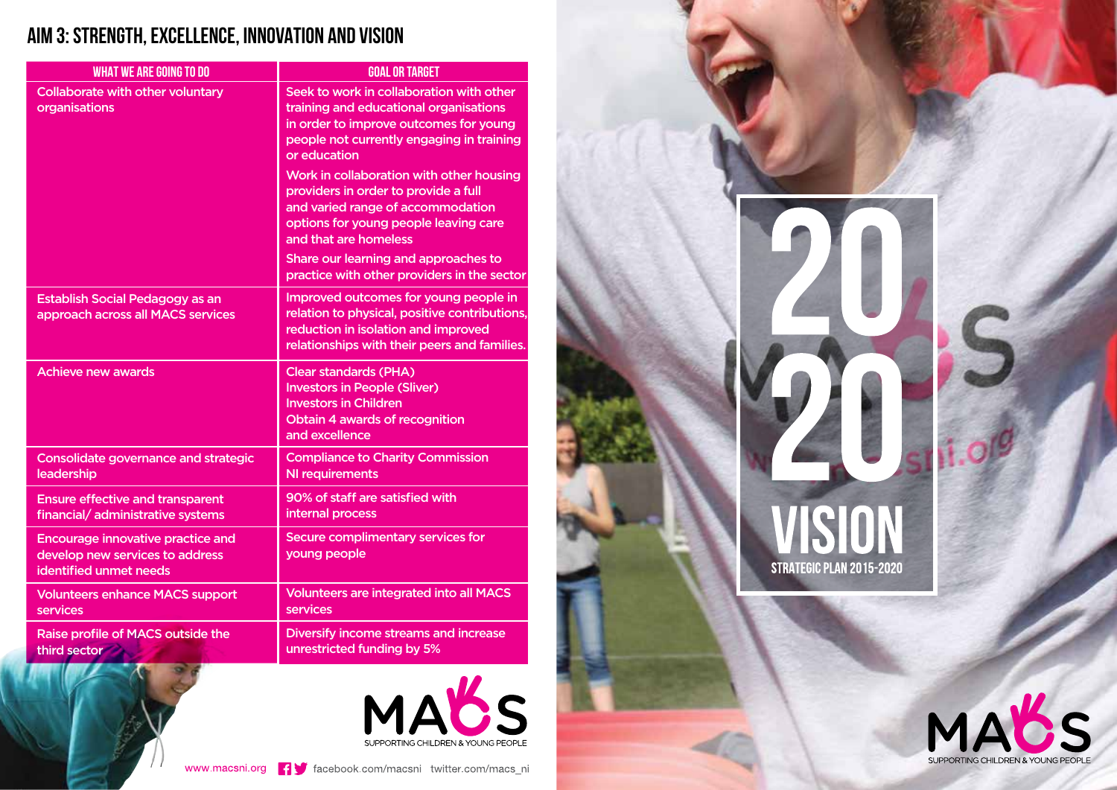## **AIM 3: STRENGTH, EXCELLENCE, INNOVATION AND VISION**

| <b>WHAT WE ARE GOING TO DO</b>                                                                        | <b>GOAL OR TARGET</b>                                                                                                                                                                     |
|-------------------------------------------------------------------------------------------------------|-------------------------------------------------------------------------------------------------------------------------------------------------------------------------------------------|
| <b>Collaborate with other voluntary</b><br>organisations                                              | Seek to work in collaboration with other<br>training and educational organisations<br>in order to improve outcomes for young<br>people not currently engaging in training<br>or education |
|                                                                                                       | Work in collaboration with other housing<br>providers in order to provide a full<br>and varied range of accommodation<br>options for young people leaving care<br>and that are homeless   |
|                                                                                                       | Share our learning and approaches to<br>practice with other providers in the sector                                                                                                       |
| <b>Establish Social Pedagogy as an</b><br>approach across all MACS services                           | Improved outcomes for young people in<br>relation to physical, positive contributions,<br>reduction in isolation and improved<br>relationships with their peers and families.             |
| <b>Achieve new awards</b>                                                                             | <b>Clear standards (PHA)</b><br><b>Investors in People (Sliver)</b><br><b>Investors in Children</b><br>Obtain 4 awards of recognition<br>and excellence                                   |
| <b>Consolidate governance and strategic</b><br>leadership                                             | <b>Compliance to Charity Commission</b><br><b>NI requirements</b>                                                                                                                         |
| <b>Ensure effective and transparent</b><br>financial/ administrative systems                          | 90% of staff are satisfied with<br>internal process                                                                                                                                       |
| <b>Encourage innovative practice and</b><br>develop new services to address<br>identified unmet needs | <b>Secure complimentary services for</b><br>young people                                                                                                                                  |
| <b>Volunteers enhance MACS support</b><br>services                                                    | <b>Volunteers are integrated into all MACS</b><br>services                                                                                                                                |
| Raise profile of MACS outside the<br>third sector                                                     | Diversify income streams and increase<br>unrestricted funding by 5%                                                                                                                       |



S

STRATEGIC PLAN 2015-2020

MABS

SUPPORTING CHILDREN & YOUNG PEOPLE